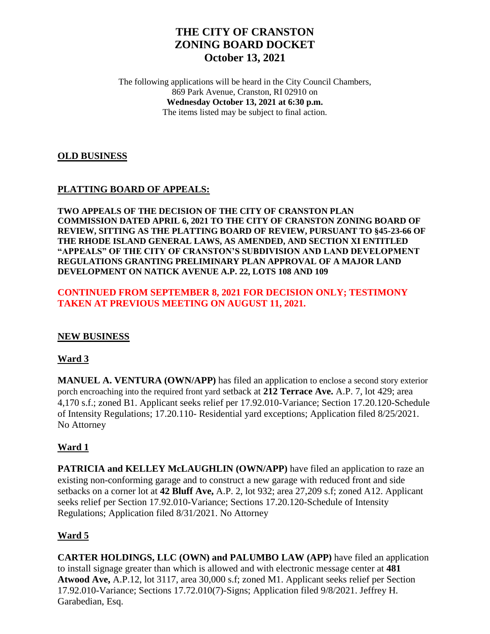# **THE CITY OF CRANSTON ZONING BOARD DOCKET October 13, 2021**

The following applications will be heard in the City Council Chambers, 869 Park Avenue, Cranston, RI 02910 on **Wednesday October 13, 2021 at 6:30 p.m.** The items listed may be subject to final action.

### **OLD BUSINESS**

## **PLATTING BOARD OF APPEALS:**

**TWO APPEALS OF THE DECISION OF THE CITY OF CRANSTON PLAN COMMISSION DATED APRIL 6, 2021 TO THE CITY OF CRANSTON ZONING BOARD OF REVIEW, SITTING AS THE PLATTING BOARD OF REVIEW, PURSUANT TO §45-23-66 OF THE RHODE ISLAND GENERAL LAWS, AS AMENDED, AND SECTION XI ENTITLED "APPEALS" OF THE CITY OF CRANSTON'S SUBDIVISION AND LAND DEVELOPMENT REGULATIONS GRANTING PRELIMINARY PLAN APPROVAL OF A MAJOR LAND DEVELOPMENT ON NATICK AVENUE A.P. 22, LOTS 108 AND 109**

### **CONTINUED FROM SEPTEMBER 8, 2021 FOR DECISION ONLY; TESTIMONY TAKEN AT PREVIOUS MEETING ON AUGUST 11, 2021.**

#### **NEW BUSINESS**

## **Ward 3**

**MANUEL A. VENTURA (OWN/APP)** has filed an application to enclose a second story exterior porch encroaching into the required front yard setback at **212 Terrace Ave.** A.P. 7, lot 429; area 4,170 s.f.; zoned B1. Applicant seeks relief per 17.92.010-Variance; Section 17.20.120-Schedule of Intensity Regulations; 17.20.110- Residential yard exceptions; Application filed 8/25/2021. No Attorney

## **Ward 1**

**PATRICIA and KELLEY McLAUGHLIN (OWN/APP) have filed an application to raze an** existing non-conforming garage and to construct a new garage with reduced front and side setbacks on a corner lot at **42 Bluff Ave,** A.P. 2, lot 932; area 27,209 s.f; zoned A12. Applicant seeks relief per Section 17.92.010-Variance; Sections 17.20.120-Schedule of Intensity Regulations; Application filed 8/31/2021. No Attorney

## **Ward 5**

**CARTER HOLDINGS, LLC (OWN) and PALUMBO LAW (APP)** have filed an application to install signage greater than which is allowed and with electronic message center at **481 Atwood Ave,** A.P.12, lot 3117, area 30,000 s.f; zoned M1. Applicant seeks relief per Section 17.92.010-Variance; Sections 17.72.010(7)-Signs; Application filed 9/8/2021. Jeffrey H. Garabedian, Esq.